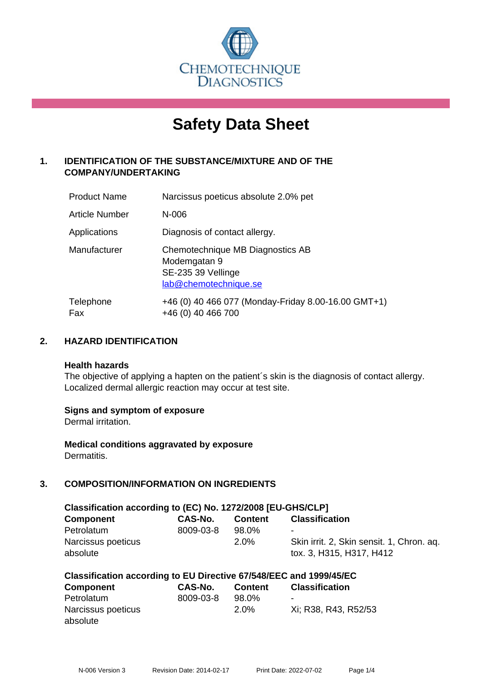

# **Safety Data Sheet**

# **1. IDENTIFICATION OF THE SUBSTANCE/MIXTURE AND OF THE COMPANY/UNDERTAKING**

| <b>Product Name</b> | Narcissus poeticus absolute 2.0% pet                                                            |
|---------------------|-------------------------------------------------------------------------------------------------|
| Article Number      | $N-006$                                                                                         |
| Applications        | Diagnosis of contact allergy.                                                                   |
| Manufacturer        | Chemotechnique MB Diagnostics AB<br>Modemgatan 9<br>SE-235 39 Vellinge<br>lab@chemotechnique.se |
| Telephone<br>Fax    | +46 (0) 40 466 077 (Monday-Friday 8.00-16.00 GMT+1)<br>+46 (0) 40 466 700                       |

## **2. HAZARD IDENTIFICATION**

#### **Health hazards**

The objective of applying a hapten on the patient's skin is the diagnosis of contact allergy. Localized dermal allergic reaction may occur at test site.

## **Signs and symptom of exposure**

Dermal irritation.

**Medical conditions aggravated by exposure** Dermatitis.

# **3. COMPOSITION/INFORMATION ON INGREDIENTS**

| Classification according to (EC) No. 1272/2008 [EU-GHS/CLP] |           |                  |                                                                            |  |  |
|-------------------------------------------------------------|-----------|------------------|----------------------------------------------------------------------------|--|--|
| <b>Component</b>                                            | CAS-No.   | <b>Content</b>   | <b>Classification</b>                                                      |  |  |
| Petrolatum<br>Narcissus poeticus<br>absolute                | 8009-03-8 | 98.0%<br>$2.0\%$ | ۰<br>Skin irrit. 2, Skin sensit. 1, Chron. ag.<br>tox. 3, H315, H317, H412 |  |  |

| Classification according to EU Directive 67/548/EEC and 1999/45/EC |           |                |                       |  |
|--------------------------------------------------------------------|-----------|----------------|-----------------------|--|
| <b>Component</b>                                                   | CAS-No.   | <b>Content</b> | <b>Classification</b> |  |
| Petrolatum                                                         | 8009-03-8 | 98.0%          | -                     |  |
| Narcissus poeticus                                                 |           | $2.0\%$        | Xi: R38, R43, R52/53  |  |
| absolute                                                           |           |                |                       |  |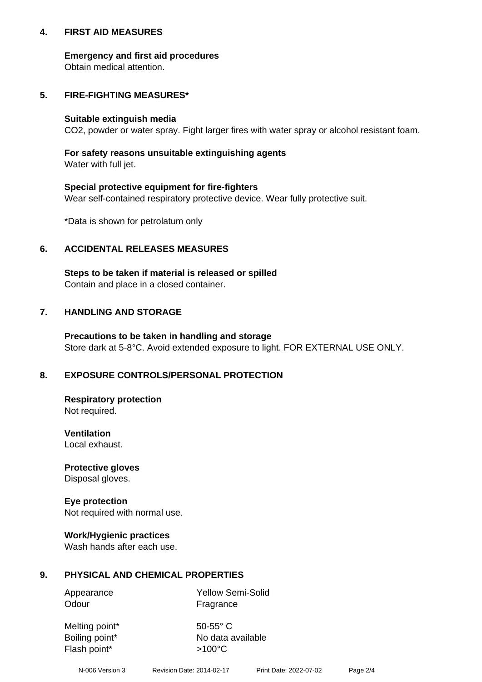## **4. FIRST AID MEASURES**

## **Emergency and first aid procedures**

Obtain medical attention.

## **5. FIRE-FIGHTING MEASURES\***

#### **Suitable extinguish media**

CO2, powder or water spray. Fight larger fires with water spray or alcohol resistant foam.

## **For safety reasons unsuitable extinguishing agents**

Water with full jet.

## **Special protective equipment for fire-fighters**

Wear self-contained respiratory protective device. Wear fully protective suit.

\*Data is shown for petrolatum only

## **6. ACCIDENTAL RELEASES MEASURES**

**Steps to be taken if material is released or spilled** Contain and place in a closed container.

# **7. HANDLING AND STORAGE**

**Precautions to be taken in handling and storage** Store dark at 5-8°C. Avoid extended exposure to light. FOR EXTERNAL USE ONLY.

# **8. EXPOSURE CONTROLS/PERSONAL PROTECTION**

**Respiratory protection** Not required.

**Ventilation** Local exhaust.

**Protective gloves** Disposal gloves.

#### **Eye protection** Not required with normal use.

## **Work/Hygienic practices**

Wash hands after each use.

## **9. PHYSICAL AND CHEMICAL PROPERTIES**

Odour Fragrance

Appearance Yellow Semi-Solid

Melting point\* 50-55° C Flash point\*  $>100^{\circ}$ C

Boiling point\* No data available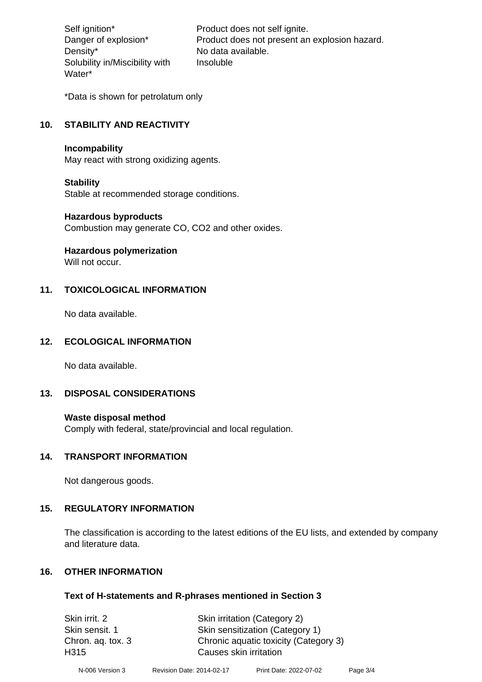Density\* No data available. Solubility in/Miscibility with Water\*

Self ignition\* Product does not self ignite. Danger of explosion\* Product does not present an explosion hazard. Insoluble

\*Data is shown for petrolatum only

## **10. STABILITY AND REACTIVITY**

#### **Incompability**

May react with strong oxidizing agents.

#### **Stability**

Stable at recommended storage conditions.

## **Hazardous byproducts**

Combustion may generate CO, CO2 and other oxides.

**Hazardous polymerization**

Will not occur.

## **11. TOXICOLOGICAL INFORMATION**

No data available.

## **12. ECOLOGICAL INFORMATION**

No data available.

## **13. DISPOSAL CONSIDERATIONS**

#### **Waste disposal method**

Comply with federal, state/provincial and local regulation.

#### **14. TRANSPORT INFORMATION**

Not dangerous goods.

## **15. REGULATORY INFORMATION**

The classification is according to the latest editions of the EU lists, and extended by company and literature data.

## **16. OTHER INFORMATION**

#### **Text of H-statements and R-phrases mentioned in Section 3**

Skin irrit. 2 Skin irritation (Category 2) Skin sensit. 1 Skin sensitization (Category 1) Chron. aq. tox. 3 Chronic aquatic toxicity (Category 3) H315 Causes skin irritation